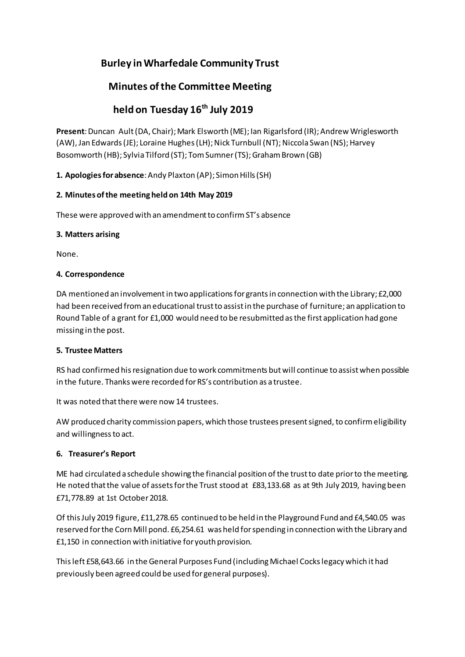# **Burley inWharfedale Community Trust**

# **Minutes ofthe Committee Meeting**

# **held on Tuesday 16th July 2019**

Present: Duncan Ault (DA, Chair); Mark Elsworth (ME); lan Rigarlsford (IR); Andrew Wriglesworth (AW), Jan Edwards (JE); Loraine Hughes (LH); Nick Turnbull (NT); Niccola Swan (NS); Harvey Bosomworth (HB); Sylvia Tilford (ST); Tom Sumner (TS); Graham Brown (GB)

1. **Apologies for absence**: Andy Plaxton (AP); Simon Hills (SH)

# **2. Minutes ofthe meeting heldon 14th May 2019**

These were approved with an amendment to confirm ST's absence

#### **3. Matters arising**

None.

## **4. Correspondence**

DA mentioned an involvement in two applications for grants in connection with the Library; £2,000 had been received froman educational trustto assistin the purchase of furniture; an application to Round Table of a grant for £1,000 would need to be resubmitted asthe first application had gone missing in the post.

#### **5. Trustee Matters**

RS had confirmed hisresignation due towork commitments butwill continue to assistwhen possible in the future. Thanks were recorded forRS's contribution as a trustee.

It was noted that there were now 14 trustees.

AW produced charity commission papers, which those trustees present signed, to confirm eligibility and willingnessto act.

# **6. Treasurer's Report**

ME had circulated a schedule showing the financial position ofthe trustto date priorto the meeting. He noted that the value of assets for the Trust stood at £83,133.68 as at 9th July 2019, having been £71,778.89 at 1st October2018.

Of thisJuly 2019 figure, £11,278.65 continued to be held in the Playground Fund and £4,540.05 was reserved forthe CornMill pond. £6,254.61 was held forspending in connection with the Library and £1,150 in connection with initiative for youth provision.

This left £58,643.66 in the General Purposes Fund (including Michael Cocks legacy which it had previously been agreed could be used for general purposes).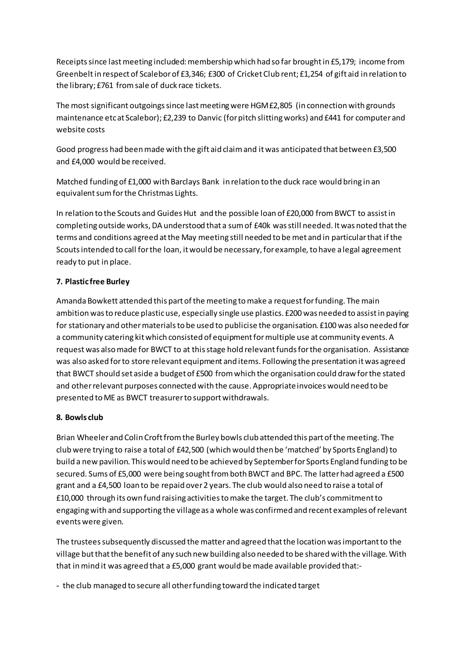Receipts since last meeting included: membership which had so far brought in £5,179; income from Greenbeltin respect of Scaleborof £3,346; £300 of Cricket Club rent; £1,254 of gift aid in relation to the library;£761 fromsale of duck race tickets.

The most significant outgoings since last meeting were HGM £2,805 (in connection with grounds maintenance etcat Scalebor); £2,239 to Danvic (forpitch slittingworks) and £441 for computer and website costs

Good progress had been made with the gift aid claim and it was anticipated that between £3,500 and £4,000 would be received.

Matched funding of £1,000 with Barclays Bank in relation to the duck race would bring in an equivalent sum for the Christmas Lights.

In relation to the Scouts and Guides Hut and the possible loan of £20,000 from BWCT to assist in completing outside works, DA understood that a sumof £40k wasstill needed. Itwas noted thatthe terms and conditions agreed atthe May meeting still needed to be met and in particularthat ifthe Scouts intended to call for the loan, it would be necessary, for example, to have a legal agreement ready to put in place.

# **7. Plastic free Burley**

Amanda Bowkett attended this part of the meeting to make a request for funding. The main ambition wasto reduce plasticuse, especially single use plastics. £200 was needed to assistin paying for stationary and other materials to be used to publicise the organisation. £100 was also needed for a community catering kit which consisted of equipment for multiple use at community events. A request was also made for BWCT to at this stage hold relevant funds for the organisation. Assistance was also asked forto store relevant equipment and items. Following the presentation itwas agreed that BWCT should set aside a budget of £500 from which the organisation could draw for the stated and otherrelevant purposes connected with the cause. Appropriateinvoices would need to be presented to ME as BWCT treasurer to support withdrawals.

#### **8. Bowls club**

Brian Wheeler and Colin Croft from the Burley bowls club attended this part of the meeting. The club were trying to raise a total of £42,500 (which would then be 'matched' by Sports England) to build a new pavilion. Thiswould need to be achieved by Septemberfor Sports England funding to be secured. Sums of £5,000 were being sought from both BWCT and BPC. The latter had agreed a £500 grant and a £4,500 loan to be repaid over2 years. The club would also need to raise a total of £10,000 through its own fund raising activitiestomake the target. The club's commitmentto engagingwith and supporting the villageas a whole was confirmed and recent examples ofrelevant events were given.

The trustees subsequently discussed the matter and agreed that the location was important to the village butthatthe benefit of any such new building also needed to be shared with the village. With that inmind it was agreed that a £5,000 grant would be made available provided that:-

- the club managed to secure all otherfunding toward the indicated target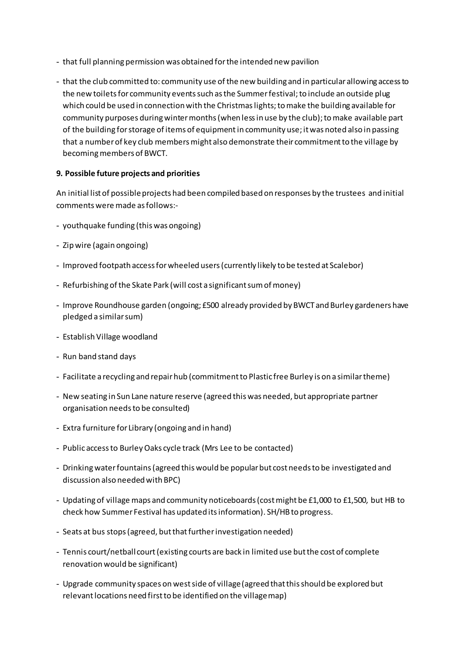- that full planning permission was obtained forthe intended new pavilion
- that the club committed to: community use of the new building and in particular allowing access to the new toilets for community events such as the Summer festival; to include an outside plug which could be used in connectionwith the Christmaslights;tomake the building available for community purposes during winter months (when less in use by the club); to make available part of the building forstorage of items of equipmentin community use;itwas noted also in passing that a number of key club members might also demonstrate their commitment to the village by becoming members of BWCT.

## **9. Possible future projects and priorities**

An initial list of possibleprojects had been compiled based on responses by the trustees and initial comments were made asfollows:-

- youthquake funding (this was ongoing)
- Zip wire (again ongoing)
- Improved footpath accessforwheeled users(currently likely to be tested at Scalebor)
- Refurbishing of the Skate Park (will cost a significant sum of money)
- Improve Roundhouse garden (ongoing; £500 already provided by BWCTand Burley gardeners have pledged a similarsum)
- Establish Village woodland
- Run band stand days
- Facilitate a recycling and repairhub (commitmentto Plastic free Burley is on a similartheme)
- New seating in Sun Lane nature reserve (agreed this was needed, but appropriate partner organisation needsto be consulted)
- Extra furniture for Library (ongoing and in hand)
- Public access to Burley Oaks cycle track (Mrs Lee to be contacted)
- Drinkingwaterfountains(agreed this would be popularbut costneedsto be investigated and discussion also needed with BPC)
- Updating of village maps and community noticeboards(costmight be £1,000 to £1,500, but HB to check how Summer Festival has updated itsinformation). SH/HBto progress.
- Seats at bus stops (agreed, but that further investigation needed)
- Tennis court/netball court(existing courts are back in limited use butthe cost of complete renovation would be significant)
- Upgrade community spaces onwestside of village(agreed thatthisshould be explored but relevant locations need first to be identified on the village map)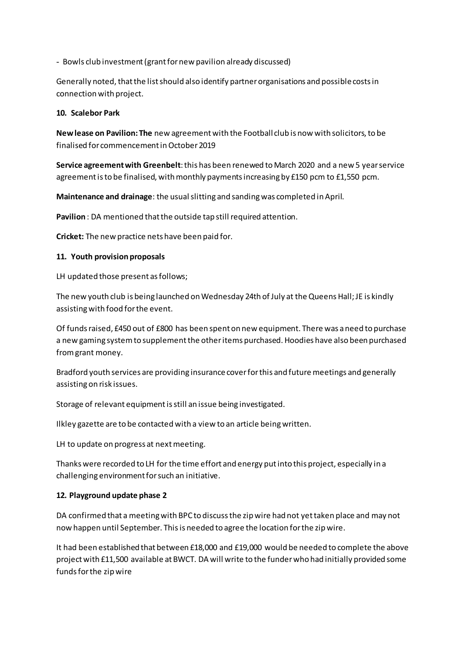- Bowls club investment(grantfornew pavilion already discussed)

Generally noted, that the list should also identify partner organisations and possible costs in connection with project.

#### **10. Scalebor Park**

**Newlease on Pavilion: The** new agreementwith the Football club is now with solicitors,to be finalised for commencementinOctober 2019

**Service agreement with Greenbelt**: this has been renewed to March 2020 and a new 5 year service agreement is to be finalised, with monthly payments increasing by £150 pcm to £1,550 pcm.

**Maintenance and drainage**: the usualslitting and sandingwas completed inApril.

Pavilion : DA mentioned that the outside tap still required attention.

**Cricket:** The new practice nets have been paid for.

#### **11. Youth provision proposals**

LH updated those present as follows;

The new youth club is being launched on Wednesday 24th of July at the Queens Hall; JE is kindly assistingwith food forthe event.

Of fundsraised, £450 out of £800 has been spenton new equipment. There was aneed to purchase a new gaming system to supplement the other items purchased. Hoodies have also been purchased fromgrant money.

Bradford youth services are providing insurance cover for this and future meetings and generally assisting on risk issues.

Storage of relevant equipment is still an issue being investigated.

Ilkley gazette are to be contacted with a view to an article beingwritten.

LH to update on progress at next meeting.

Thanks were recorded to LH for the time effort and energy putinto this project, especially in a challenging environmentforsuch an initiative.

#### **12. Playground update phase 2**

DA confirmed that a meetingwith BPCto discussthe zip wire had not yettaken place and may not now happen until September. Thisis needed to agree the location forthe zip wire.

It had been established that between £18,000 and £19,000 would be needed to complete the above projectwith £11,500 available atBWCT. DA will write to the funderwho had initially provided some fundsforthe zipwire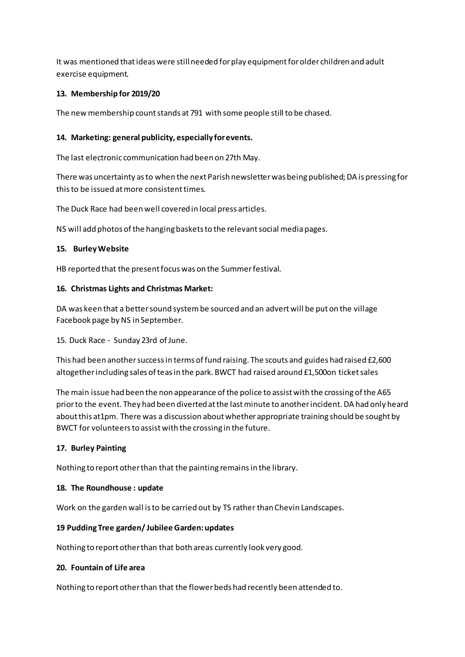It was mentioned that ideas were still needed for play equipment for older children and adult exercise equipment.

## **13. Membership for 2019/20**

The new membership count stands at 791 with some people still to be chased.

### **14. Marketing: general publicity, especially forevents.**

The last electronic communication had been on 27th May.

There was uncertainty as to when the next Parish newsletter was being published; DA is pressing for thisto be issued atmore consistenttimes.

The Duck Race had been well covered in local press articles.

NS will add photos of the hanging baskets to the relevant social media pages.

#### **15. BurleyWebsite**

HB reported that the present focus was on the Summer festival.

#### **16. Christmas Lights and Christmas Market:**

DA was keen that a better sound system be sourced and an advert will be put on the village Facebook page by NS in September.

15. Duck Race - Sunday 23rd of June.

This had been another success in terms of fund raising. The scouts and guides had raised £2,600 altogetherincluding sales ofteasin the park. BWCT had raised around £1,500on ticketsales

The main issue had been the non appearance of the police to assist with the crossing of the A65 priorto the event. They had been diverted atthe lastminute to anotherincident. DA had only heard about this at1pm. There was a discussion about whether appropriate training should be sought by BWCT for volunteersto assistwith the crossing in the future.

#### **17. Burley Painting**

Nothing to report otherthan that the painting remainsin the library.

#### **18. The Roundhouse : update**

Work on the garden wall isto be carried out by TS rather than Chevin Landscapes.

#### **19 PuddingTree garden/ JubileeGarden:updates**

Nothing to report otherthan that both areas currently look very good.

#### **20. Fountain of Life area**

Nothing to report otherthan that the flowerbeds had recently been attended to.